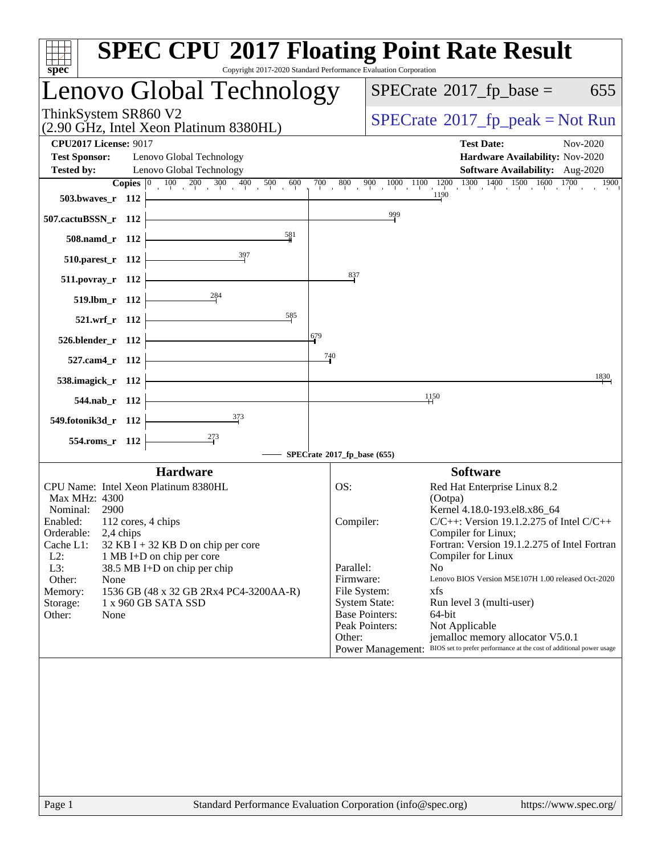| $spec^*$                                                                                                                          | <b>SPEC CPU®2017 Floating Point Rate Result</b><br>Copyright 2017-2020 Standard Performance Evaluation Corporation                                                                           |
|-----------------------------------------------------------------------------------------------------------------------------------|----------------------------------------------------------------------------------------------------------------------------------------------------------------------------------------------|
| Lenovo Global Technology                                                                                                          | $SPECrate^{\circ}2017$ _fp_base =<br>655                                                                                                                                                     |
| ThinkSystem SR860 V2<br>(2.90 GHz, Intel Xeon Platinum 8380HL)                                                                    | $SPECrate^{\circ}2017$ _fp_peak = Not Run                                                                                                                                                    |
| <b>CPU2017 License: 9017</b><br><b>Test Sponsor:</b><br>Lenovo Global Technology<br>Lenovo Global Technology<br><b>Tested by:</b> | <b>Test Date:</b><br>Nov-2020<br><b>Hardware Availability: Nov-2020</b><br><b>Software Availability:</b> Aug-2020                                                                            |
| <b>Copies</b> $\begin{bmatrix} 0 & 100 & 200 & 300 & 400 & 500 \end{bmatrix}$<br>600                                              | $\frac{900}{100} - \frac{1000}{100} - \frac{1100}{100} - \frac{1200}{100} - \frac{1300}{100} - \frac{1400}{100} - \frac{1500}{100} - \frac{1600}{100} - \frac{1700}{100}$<br>700 800<br>1900 |
| 503.bwayes_r 112                                                                                                                  | 1190                                                                                                                                                                                         |
| 507.cactuBSSN_r 112                                                                                                               | 999                                                                                                                                                                                          |
| 581<br>508.namd_r 112                                                                                                             |                                                                                                                                                                                              |
| $510.parest_r$ 112                                                                                                                |                                                                                                                                                                                              |
| $511. povray_r 112$                                                                                                               | $\frac{837}{5}$                                                                                                                                                                              |
| 519.lbm_r 112                                                                                                                     |                                                                                                                                                                                              |
| 585<br>521.wrf_r 112                                                                                                              | 679                                                                                                                                                                                          |
| 526.blender_r 112                                                                                                                 | $\frac{740}{9}$                                                                                                                                                                              |
| 527.cam4_r 112                                                                                                                    | 1830                                                                                                                                                                                         |
| 538.imagick_r 112<br>544.nab r 112                                                                                                | 1150                                                                                                                                                                                         |
| 549.fotonik3d_r 112                                                                                                               |                                                                                                                                                                                              |
| 554.roms_r 112                                                                                                                    |                                                                                                                                                                                              |
|                                                                                                                                   | SPECrate <sup>®</sup> 2017_fp_base (655)                                                                                                                                                     |
| <b>Hardware</b>                                                                                                                   | <b>Software</b>                                                                                                                                                                              |
| CPU Name: Intel Xeon Platinum 8380HL                                                                                              | Red Hat Enterprise Linux 8.2<br>OS:                                                                                                                                                          |
| Max MHz: 4300<br>Nominal:<br>2900                                                                                                 | (Ootpa)<br>Kernel 4.18.0-193.el8.x86_64                                                                                                                                                      |
| Enabled: 112 cores, 4 chips                                                                                                       | $C/C++$ : Version 19.1.2.275 of Intel $C/C++$<br>Compiler:                                                                                                                                   |
| Orderable:<br>2,4 chips                                                                                                           | Compiler for Linux;                                                                                                                                                                          |
| Cache L1:<br>$32$ KB I + 32 KB D on chip per core<br>$L2$ :<br>1 MB I+D on chip per core                                          | Fortran: Version 19.1.2.275 of Intel Fortran<br>Compiler for Linux                                                                                                                           |
| L3:<br>38.5 MB I+D on chip per chip                                                                                               | Parallel:<br>N <sub>o</sub>                                                                                                                                                                  |
| Other:<br>None                                                                                                                    | Firmware:<br>Lenovo BIOS Version M5E107H 1.00 released Oct-2020                                                                                                                              |
| 1536 GB (48 x 32 GB 2Rx4 PC4-3200AA-R)<br>Memory:<br>1 x 960 GB SATA SSD<br>Storage:                                              | File System:<br>xfs<br><b>System State:</b><br>Run level 3 (multi-user)                                                                                                                      |
| Other:<br>None                                                                                                                    | <b>Base Pointers:</b><br>64-bit                                                                                                                                                              |
|                                                                                                                                   | Peak Pointers:<br>Not Applicable                                                                                                                                                             |
|                                                                                                                                   | jemalloc memory allocator V5.0.1<br>Other:<br>Power Management: BIOS set to prefer performance at the cost of additional power usage                                                         |
|                                                                                                                                   |                                                                                                                                                                                              |
|                                                                                                                                   |                                                                                                                                                                                              |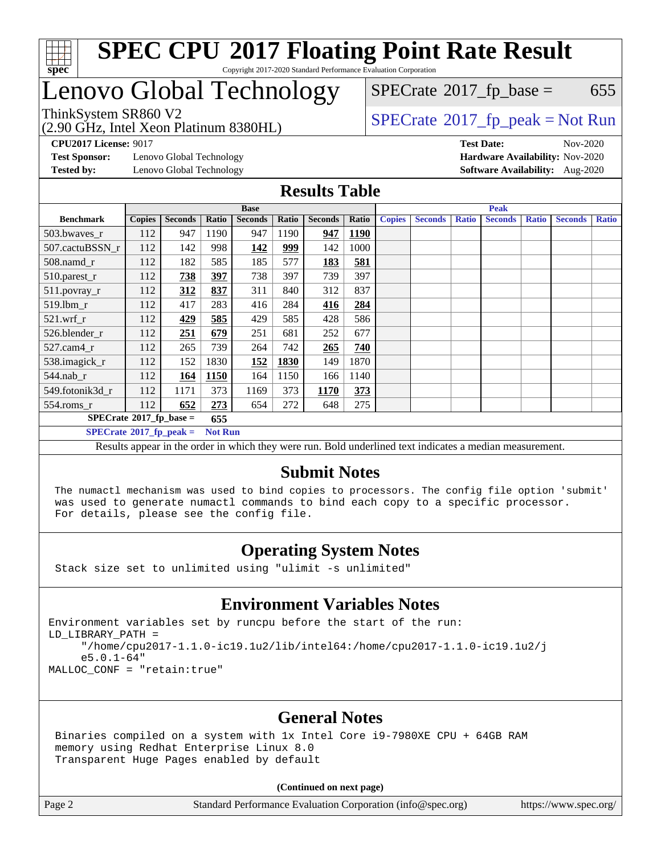

## enovo Global Technology

(2.90 GHz, Intel Xeon Platinum 8380HL)

 $SPECTate$ <sup>®</sup>[2017\\_fp\\_base =](http://www.spec.org/auto/cpu2017/Docs/result-fields.html#SPECrate2017fpbase) 655

### ThinkSystem SR860 V2<br>  $\begin{array}{c}\n\text{SPECrate} \textcirc 2017\_fp\_peak = Not Run \\
\text{SPECrate} \textcirc 2017\_fp\_peak = Not Run\n\end{array}$  $\begin{array}{c}\n\text{SPECrate} \textcirc 2017\_fp\_peak = Not Run \\
\text{SPECrate} \textcirc 2017\_fp\_peak = Not Run\n\end{array}$  $\begin{array}{c}\n\text{SPECrate} \textcirc 2017\_fp\_peak = Not Run \\
\text{SPECrate} \textcirc 2017\_fp\_peak = Not Run\n\end{array}$

**[CPU2017 License:](http://www.spec.org/auto/cpu2017/Docs/result-fields.html#CPU2017License)** 9017 **[Test Date:](http://www.spec.org/auto/cpu2017/Docs/result-fields.html#TestDate)** Nov-2020

**[Test Sponsor:](http://www.spec.org/auto/cpu2017/Docs/result-fields.html#TestSponsor)** Lenovo Global Technology **[Hardware Availability:](http://www.spec.org/auto/cpu2017/Docs/result-fields.html#HardwareAvailability)** Nov-2020

**[Tested by:](http://www.spec.org/auto/cpu2017/Docs/result-fields.html#Testedby)** Lenovo Global Technology **[Software Availability:](http://www.spec.org/auto/cpu2017/Docs/result-fields.html#SoftwareAvailability)** Aug-2020

### **[Results Table](http://www.spec.org/auto/cpu2017/Docs/result-fields.html#ResultsTable)**

|                                                    | <b>Base</b>   |                |       |                |            | <b>Peak</b>    |             |               |                |              |                |              |                |              |
|----------------------------------------------------|---------------|----------------|-------|----------------|------------|----------------|-------------|---------------|----------------|--------------|----------------|--------------|----------------|--------------|
| <b>Benchmark</b>                                   | <b>Copies</b> | <b>Seconds</b> | Ratio | <b>Seconds</b> | Ratio      | <b>Seconds</b> | Ratio       | <b>Copies</b> | <b>Seconds</b> | <b>Ratio</b> | <b>Seconds</b> | <b>Ratio</b> | <b>Seconds</b> | <b>Ratio</b> |
| 503.bwayes r                                       | 112           | 947            | 1190  | 947            | 1190       | 947            | <b>1190</b> |               |                |              |                |              |                |              |
| 507.cactuBSSN r                                    | 112           | 142            | 998   | <u>142</u>     | <u>999</u> | 142            | 1000        |               |                |              |                |              |                |              |
| $508$ .namd $r$                                    | 112           | 182            | 585   | 185            | 577        | 183            | 581         |               |                |              |                |              |                |              |
| 510.parest_r                                       | 112           | 738            | 397   | 738            | 397        | 739            | 397         |               |                |              |                |              |                |              |
| 511.povray_r                                       | 112           | 312            | 837   | 311            | 840        | 312            | 837         |               |                |              |                |              |                |              |
| 519.lbm r                                          | 112           | 417            | 283   | 416            | 284        | 416            | 284         |               |                |              |                |              |                |              |
| $521$ .wrf r                                       | 112           | 429            | 585   | 429            | 585        | 428            | 586         |               |                |              |                |              |                |              |
| 526.blender r                                      | 112           | 251            | 679   | 251            | 681        | 252            | 677         |               |                |              |                |              |                |              |
| 527.cam4_r                                         | 112           | 265            | 739   | 264            | 742        | 265            | 740         |               |                |              |                |              |                |              |
| 538.imagick_r                                      | 112           | 152            | 1830  | 152            | 1830       | 149            | 1870        |               |                |              |                |              |                |              |
| 544.nab r                                          | 112           | 164            | 1150  | 164            | 1150       | 166            | 1140        |               |                |              |                |              |                |              |
| 549.fotonik3d_r                                    | 112           | 1171           | 373   | 1169           | 373        | 1170           | 373         |               |                |              |                |              |                |              |
| $554$ .roms_r                                      | 112           | 652            | 273   | 654            | 272        | 648            | 275         |               |                |              |                |              |                |              |
| $SPECrate*2017_fp\_base =$<br>655                  |               |                |       |                |            |                |             |               |                |              |                |              |                |              |
| $SPECrate^{\circ}2017$ fp peak =<br><b>Not Run</b> |               |                |       |                |            |                |             |               |                |              |                |              |                |              |

Results appear in the [order in which they were run](http://www.spec.org/auto/cpu2017/Docs/result-fields.html#RunOrder). Bold underlined text [indicates a median measurement.](http://www.spec.org/auto/cpu2017/Docs/result-fields.html#Median)

#### **[Submit Notes](http://www.spec.org/auto/cpu2017/Docs/result-fields.html#SubmitNotes)**

 The numactl mechanism was used to bind copies to processors. The config file option 'submit' was used to generate numactl commands to bind each copy to a specific processor. For details, please see the config file.

### **[Operating System Notes](http://www.spec.org/auto/cpu2017/Docs/result-fields.html#OperatingSystemNotes)**

Stack size set to unlimited using "ulimit -s unlimited"

### **[Environment Variables Notes](http://www.spec.org/auto/cpu2017/Docs/result-fields.html#EnvironmentVariablesNotes)**

Environment variables set by runcpu before the start of the run: LD\_LIBRARY\_PATH = "/home/cpu2017-1.1.0-ic19.1u2/lib/intel64:/home/cpu2017-1.1.0-ic19.1u2/j e5.0.1-64" MALLOC\_CONF = "retain:true"

### **[General Notes](http://www.spec.org/auto/cpu2017/Docs/result-fields.html#GeneralNotes)**

 Binaries compiled on a system with 1x Intel Core i9-7980XE CPU + 64GB RAM memory using Redhat Enterprise Linux 8.0 Transparent Huge Pages enabled by default

#### **(Continued on next page)**

Page 2 Standard Performance Evaluation Corporation [\(info@spec.org\)](mailto:info@spec.org) <https://www.spec.org/>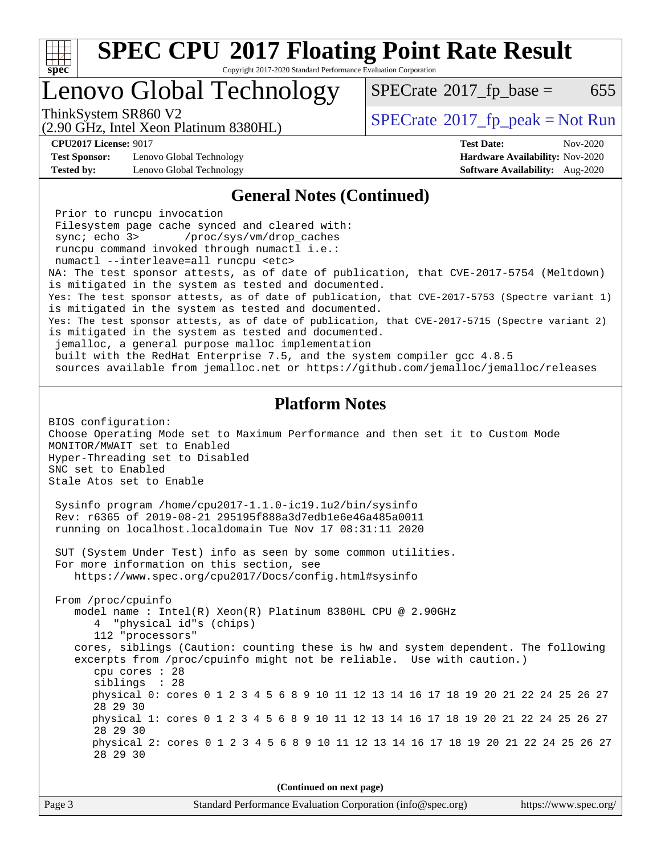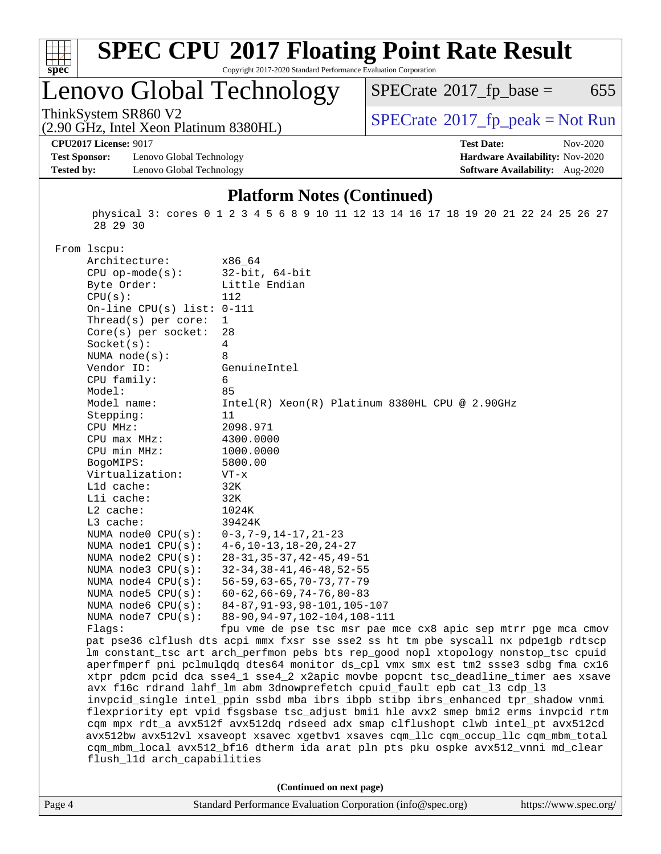

# **[SPEC CPU](http://www.spec.org/auto/cpu2017/Docs/result-fields.html#SPECCPU2017FloatingPointRateResult)[2017 Floating Point Rate Result](http://www.spec.org/auto/cpu2017/Docs/result-fields.html#SPECCPU2017FloatingPointRateResult)**

Copyright 2017-2020 Standard Performance Evaluation Corporation

## Lenovo Global Technology

 $SPECTate@2017_fp\_base = 655$ 

(2.90 GHz, Intel Xeon Platinum 8380HL)

ThinkSystem SR860 V2<br>  $(2.90 \text{ GHz. Intel Yoon Plutium } 8380 \text{H})$  [SPECrate](http://www.spec.org/auto/cpu2017/Docs/result-fields.html#SPECrate2017fppeak)®[2017\\_fp\\_peak = N](http://www.spec.org/auto/cpu2017/Docs/result-fields.html#SPECrate2017fppeak)ot Run

**[CPU2017 License:](http://www.spec.org/auto/cpu2017/Docs/result-fields.html#CPU2017License)** 9017 **[Test Date:](http://www.spec.org/auto/cpu2017/Docs/result-fields.html#TestDate)** Nov-2020

**[Test Sponsor:](http://www.spec.org/auto/cpu2017/Docs/result-fields.html#TestSponsor)** Lenovo Global Technology **[Hardware Availability:](http://www.spec.org/auto/cpu2017/Docs/result-fields.html#HardwareAvailability)** Nov-2020 **[Tested by:](http://www.spec.org/auto/cpu2017/Docs/result-fields.html#Testedby)** Lenovo Global Technology **[Software Availability:](http://www.spec.org/auto/cpu2017/Docs/result-fields.html#SoftwareAvailability)** Aug-2020

#### **[Platform Notes \(Continued\)](http://www.spec.org/auto/cpu2017/Docs/result-fields.html#PlatformNotes)**

 physical 3: cores 0 1 2 3 4 5 6 8 9 10 11 12 13 14 16 17 18 19 20 21 22 24 25 26 27 28 29 30

From lscpu:

| Architecture:                | x86_64                                                                               |
|------------------------------|--------------------------------------------------------------------------------------|
| $CPU$ op-mode $(s)$ :        | $32$ -bit, $64$ -bit                                                                 |
| Byte Order:                  | Little Endian                                                                        |
| CPU(s):                      | 112                                                                                  |
| On-line CPU(s) list: $0-111$ |                                                                                      |
| Thread(s) per core:          | $\mathbf{1}$                                                                         |
| Core(s) per socket:          | 28                                                                                   |
| Socket(s):                   | 4                                                                                    |
| NUMA node(s):                | 8                                                                                    |
| Vendor ID:                   | GenuineIntel                                                                         |
| CPU family:                  | 6                                                                                    |
| Model:                       | 85                                                                                   |
| Model name:                  | $Intel(R) Xeon(R) Platinum 8380HL CPU @ 2.90GHz$                                     |
| Stepping:                    | 11                                                                                   |
| CPU MHz:                     | 2098.971                                                                             |
| CPU max MHz:                 | 4300.0000                                                                            |
| CPU min MHz:                 | 1000.0000                                                                            |
| BogoMIPS:                    | 5800.00                                                                              |
| Virtualization:              | $VT - x$                                                                             |
| L1d cache:                   | 32K                                                                                  |
| Lli cache:                   | 32K                                                                                  |
| $L2$ cache:                  | 1024K                                                                                |
| L3 cache:                    | 39424K                                                                               |
| NUMA node0 CPU(s):           | $0-3, 7-9, 14-17, 21-23$                                                             |
| NUMA nodel CPU(s):           | $4-6$ , $10-13$ , $18-20$ , $24-27$                                                  |
| NUMA node2 CPU(s):           | $28 - 31, 35 - 37, 42 - 45, 49 - 51$                                                 |
| NUMA node3 CPU(s):           | $32 - 34, 38 - 41, 46 - 48, 52 - 55$                                                 |
| NUMA $node4$ $CPU(s)$ :      | $56 - 59, 63 - 65, 70 - 73, 77 - 79$                                                 |
| NUMA $node5$ CPU $(s)$ :     | $60 - 62, 66 - 69, 74 - 76, 80 - 83$                                                 |
| NUMA node6 CPU(s):           | 84-87, 91-93, 98-101, 105-107                                                        |
| NUMA $node7$ CPU $(s)$ :     | 88-90, 94-97, 102-104, 108-111                                                       |
| Flaqs:                       | fpu vme de pse tsc msr pae mce cx8 apic sep mtrr pge mca cmov                        |
|                              | pat pse36 clflush dts acpi mmx fxsr sse sse2 ss ht tm pbe syscall nx pdpelgb rdtscp  |
|                              | lm constant_tsc art arch_perfmon pebs bts rep_good nopl xtopology nonstop_tsc cpuid  |
|                              | aperfmperf pni pclmulqdq dtes64 monitor ds_cpl vmx smx est tm2 ssse3 sdbg fma cx16   |
|                              | xtpr pdcm pcid dca sse4_1 sse4_2 x2apic movbe popcnt tsc_deadline_timer aes xsave    |
|                              | avx f16c rdrand lahf_lm abm 3dnowprefetch cpuid_fault epb cat_13 cdp_13              |
|                              | invpcid_single intel_ppin ssbd mba ibrs ibpb stibp ibrs_enhanced tpr_shadow vnmi     |
|                              | flexpriority ept vpid fsgsbase tsc_adjust bmil hle avx2 smep bmi2 erms invpcid rtm   |
|                              | cqm mpx rdt_a avx512f avx512dq rdseed adx smap clflushopt clwb intel_pt avx512cd     |
|                              | avx512bw avx512vl xsaveopt xsavec xgetbvl xsaves cqm_llc cqm_occup_llc cqm_mbm_total |
|                              | cqm_mbm_local avx512_bf16 dtherm ida arat pln pts pku ospke avx512_vnni md_clear     |
| flush_11d arch_capabilities  |                                                                                      |
|                              |                                                                                      |
|                              | (Continued on next page)                                                             |
|                              |                                                                                      |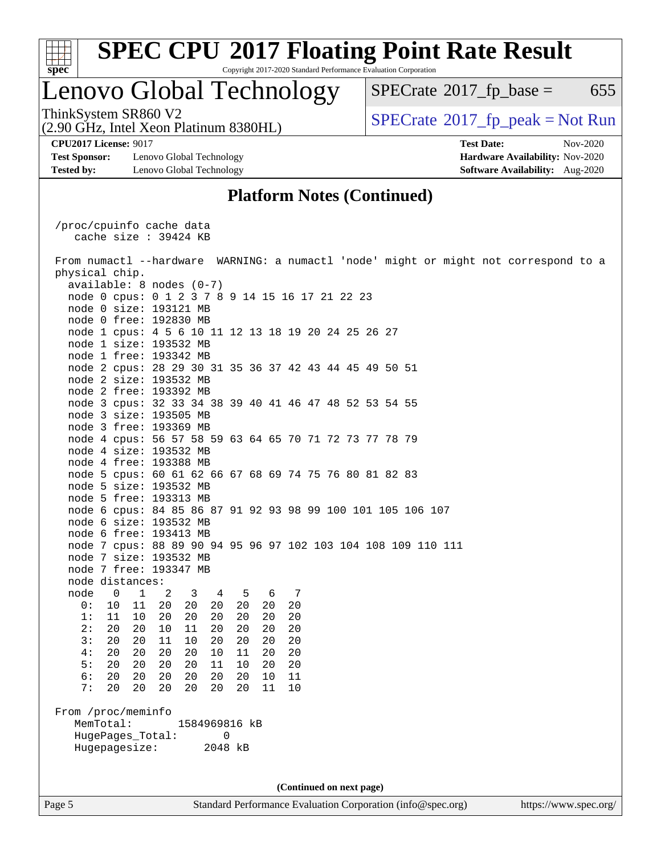

## Lenovo Global Technology

 $SPECTate@2017_fp\_base = 655$ 

(2.90 GHz, Intel Xeon Platinum 8380HL)

**[Test Sponsor:](http://www.spec.org/auto/cpu2017/Docs/result-fields.html#TestSponsor)** Lenovo Global Technology **[Hardware Availability:](http://www.spec.org/auto/cpu2017/Docs/result-fields.html#HardwareAvailability)** Nov-2020 **[Tested by:](http://www.spec.org/auto/cpu2017/Docs/result-fields.html#Testedby)** Lenovo Global Technology **[Software Availability:](http://www.spec.org/auto/cpu2017/Docs/result-fields.html#SoftwareAvailability)** Aug-2020

ThinkSystem SR860 V2<br>(2.90 GHz, Intel Xeon Platinum 8380HI)  $\vert$  [SPECrate](http://www.spec.org/auto/cpu2017/Docs/result-fields.html#SPECrate2017fppeak)®[2017\\_fp\\_peak = N](http://www.spec.org/auto/cpu2017/Docs/result-fields.html#SPECrate2017fppeak)ot Run

**[CPU2017 License:](http://www.spec.org/auto/cpu2017/Docs/result-fields.html#CPU2017License)** 9017 **[Test Date:](http://www.spec.org/auto/cpu2017/Docs/result-fields.html#TestDate)** Nov-2020

### **[Platform Notes \(Continued\)](http://www.spec.org/auto/cpu2017/Docs/result-fields.html#PlatformNotes)**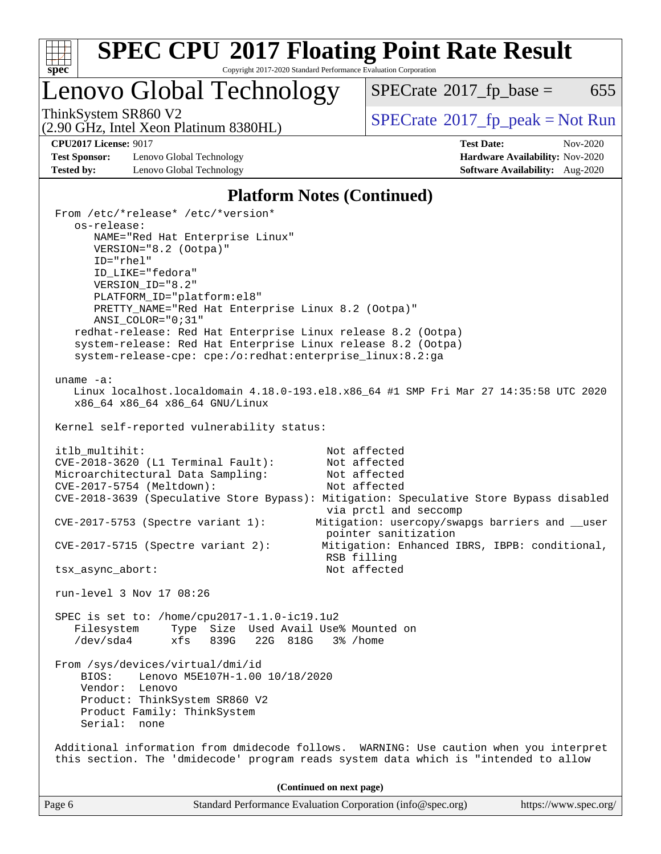

# **[SPEC CPU](http://www.spec.org/auto/cpu2017/Docs/result-fields.html#SPECCPU2017FloatingPointRateResult)[2017 Floating Point Rate Result](http://www.spec.org/auto/cpu2017/Docs/result-fields.html#SPECCPU2017FloatingPointRateResult)**

Copyright 2017-2020 Standard Performance Evaluation Corporation

Lenovo Global Technology

 $SPECTate@2017_fp\_base = 655$ 

(2.90 GHz, Intel Xeon Platinum 8380HL)

ThinkSystem SR860 V2<br>(2.90 GHz, Intel Xeon Platinum 8380HI) [SPECrate](http://www.spec.org/auto/cpu2017/Docs/result-fields.html#SPECrate2017fppeak)®[2017\\_fp\\_peak = N](http://www.spec.org/auto/cpu2017/Docs/result-fields.html#SPECrate2017fppeak)ot Run

**[Test Sponsor:](http://www.spec.org/auto/cpu2017/Docs/result-fields.html#TestSponsor)** Lenovo Global Technology **[Hardware Availability:](http://www.spec.org/auto/cpu2017/Docs/result-fields.html#HardwareAvailability)** Nov-2020 **[Tested by:](http://www.spec.org/auto/cpu2017/Docs/result-fields.html#Testedby)** Lenovo Global Technology **[Software Availability:](http://www.spec.org/auto/cpu2017/Docs/result-fields.html#SoftwareAvailability)** Aug-2020

**[CPU2017 License:](http://www.spec.org/auto/cpu2017/Docs/result-fields.html#CPU2017License)** 9017 **[Test Date:](http://www.spec.org/auto/cpu2017/Docs/result-fields.html#TestDate)** Nov-2020

### **[Platform Notes \(Continued\)](http://www.spec.org/auto/cpu2017/Docs/result-fields.html#PlatformNotes)**

| From /etc/*release* /etc/*version*<br>os-release:                         |                                                                                         |
|---------------------------------------------------------------------------|-----------------------------------------------------------------------------------------|
| NAME="Red Hat Enterprise Linux"                                           |                                                                                         |
| VERSION="8.2 (Ootpa)"                                                     |                                                                                         |
| ID="rhel"                                                                 |                                                                                         |
| ID_LIKE="fedora"                                                          |                                                                                         |
| VERSION ID="8.2"<br>PLATFORM_ID="platform:el8"                            |                                                                                         |
| PRETTY_NAME="Red Hat Enterprise Linux 8.2 (Ootpa)"                        |                                                                                         |
| ANSI COLOR="0;31"                                                         |                                                                                         |
| redhat-release: Red Hat Enterprise Linux release 8.2 (Ootpa)              |                                                                                         |
| system-release: Red Hat Enterprise Linux release 8.2 (Ootpa)              |                                                                                         |
| system-release-cpe: cpe:/o:redhat:enterprise_linux:8.2:ga                 |                                                                                         |
| uname $-a$ :                                                              |                                                                                         |
|                                                                           | Linux localhost.localdomain 4.18.0-193.el8.x86_64 #1 SMP Fri Mar 27 14:35:58 UTC 2020   |
| x86_64 x86_64 x86_64 GNU/Linux                                            |                                                                                         |
| Kernel self-reported vulnerability status:                                |                                                                                         |
|                                                                           |                                                                                         |
| itlb_multihit:                                                            | Not affected                                                                            |
| $CVE-2018-3620$ (L1 Terminal Fault):<br>Microarchitectural Data Sampling: | Not affected<br>Not affected                                                            |
| CVE-2017-5754 (Meltdown):                                                 | Not affected                                                                            |
|                                                                           | CVE-2018-3639 (Speculative Store Bypass): Mitigation: Speculative Store Bypass disabled |
|                                                                           | via prctl and seccomp                                                                   |
| $CVE-2017-5753$ (Spectre variant 1):                                      | Mitigation: usercopy/swapgs barriers and __user<br>pointer sanitization                 |
| $CVE-2017-5715$ (Spectre variant 2):                                      | Mitigation: Enhanced IBRS, IBPB: conditional,                                           |
|                                                                           | RSB filling                                                                             |
| tsx_async_abort:                                                          | Not affected                                                                            |
| run-level 3 Nov 17 08:26                                                  |                                                                                         |
| SPEC is set to: /home/cpu2017-1.1.0-ic19.1u2                              |                                                                                         |
| Filesystem Type Size Used Avail Use% Mounted on                           |                                                                                         |
| $/\text{dev/sda4}$<br>xfs 839G 22G 818G 3% / home                         |                                                                                         |
| From /sys/devices/virtual/dmi/id                                          |                                                                                         |
| Lenovo M5E107H-1.00 10/18/2020<br>BIOS:                                   |                                                                                         |
| Vendor: Lenovo                                                            |                                                                                         |
| Product: ThinkSystem SR860 V2                                             |                                                                                         |
| Product Family: ThinkSystem                                               |                                                                                         |
| Serial: none                                                              |                                                                                         |
|                                                                           | Additional information from dmidecode follows. WARNING: Use caution when you interpret  |
|                                                                           | this section. The 'dmidecode' program reads system data which is "intended to allow     |
|                                                                           | (Continued on next page)                                                                |
| Page 6                                                                    | Standard Performance Evaluation Corporation (info@spec.org)<br>https://www.spec.org/    |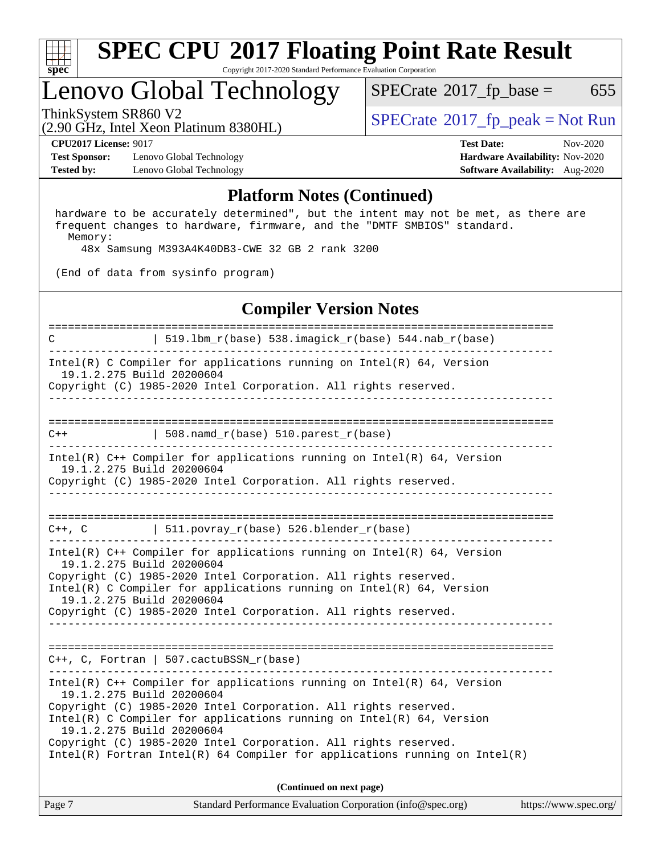

## Lenovo Global Technology

 $SPECTate$ <sup>®</sup>[2017\\_fp\\_base =](http://www.spec.org/auto/cpu2017/Docs/result-fields.html#SPECrate2017fpbase) 655

(2.90 GHz, Intel Xeon Platinum 8380HL)

ThinkSystem SR860 V2<br>  $\begin{array}{c} \text{SPECTR} \\ \text{SPECTR} \\ \text{SPECTR} \end{array}$  [SPECrate](http://www.spec.org/auto/cpu2017/Docs/result-fields.html#SPECrate2017fppeak)®[2017\\_fp\\_peak = N](http://www.spec.org/auto/cpu2017/Docs/result-fields.html#SPECrate2017fppeak)ot Run

**[Test Sponsor:](http://www.spec.org/auto/cpu2017/Docs/result-fields.html#TestSponsor)** Lenovo Global Technology **[Hardware Availability:](http://www.spec.org/auto/cpu2017/Docs/result-fields.html#HardwareAvailability)** Nov-2020 **[Tested by:](http://www.spec.org/auto/cpu2017/Docs/result-fields.html#Testedby)** Lenovo Global Technology **[Software Availability:](http://www.spec.org/auto/cpu2017/Docs/result-fields.html#SoftwareAvailability)** Aug-2020

**[CPU2017 License:](http://www.spec.org/auto/cpu2017/Docs/result-fields.html#CPU2017License)** 9017 **[Test Date:](http://www.spec.org/auto/cpu2017/Docs/result-fields.html#TestDate)** Nov-2020

### **[Platform Notes \(Continued\)](http://www.spec.org/auto/cpu2017/Docs/result-fields.html#PlatformNotes)**

 hardware to be accurately determined", but the intent may not be met, as there are frequent changes to hardware, firmware, and the "DMTF SMBIOS" standard. Memory:

48x Samsung M393A4K40DB3-CWE 32 GB 2 rank 3200

(End of data from sysinfo program)

### **[Compiler Version Notes](http://www.spec.org/auto/cpu2017/Docs/result-fields.html#CompilerVersionNotes)**

============================================================================== C  $| 519.1bm_r(base) 538.imagick_r(base) 544.nab_r(base)$ ------------------------------------------------------------------------------ Intel(R) C Compiler for applications running on  $Intel(R) 64$ , Version 19.1.2.275 Build 20200604 Copyright (C) 1985-2020 Intel Corporation. All rights reserved. ------------------------------------------------------------------------------ ==============================================================================  $C++$  | 508.namd\_r(base) 510.parest\_r(base) ------------------------------------------------------------------------------ Intel(R) C++ Compiler for applications running on Intel(R) 64, Version 19.1.2.275 Build 20200604 Copyright (C) 1985-2020 Intel Corporation. All rights reserved. ------------------------------------------------------------------------------ ==============================================================================  $C++$ ,  $C$  | 511.povray\_r(base) 526.blender\_r(base) ------------------------------------------------------------------------------ Intel(R) C++ Compiler for applications running on Intel(R) 64, Version 19.1.2.275 Build 20200604 Copyright (C) 1985-2020 Intel Corporation. All rights reserved. Intel(R) C Compiler for applications running on Intel(R) 64, Version 19.1.2.275 Build 20200604 Copyright (C) 1985-2020 Intel Corporation. All rights reserved. ------------------------------------------------------------------------------ ============================================================================== C++, C, Fortran | 507.cactuBSSN\_r(base) ------------------------------------------------------------------------------ Intel(R) C++ Compiler for applications running on Intel(R) 64, Version 19.1.2.275 Build 20200604 Copyright (C) 1985-2020 Intel Corporation. All rights reserved. Intel(R) C Compiler for applications running on Intel(R) 64, Version 19.1.2.275 Build 20200604 Copyright (C) 1985-2020 Intel Corporation. All rights reserved. Intel(R) Fortran Intel(R) 64 Compiler for applications running on Intel(R) **(Continued on next page)**

| Page 7 | Standard Performance Evaluation Corporation (info@spec.org) | https://www.spec.org/ |
|--------|-------------------------------------------------------------|-----------------------|
|--------|-------------------------------------------------------------|-----------------------|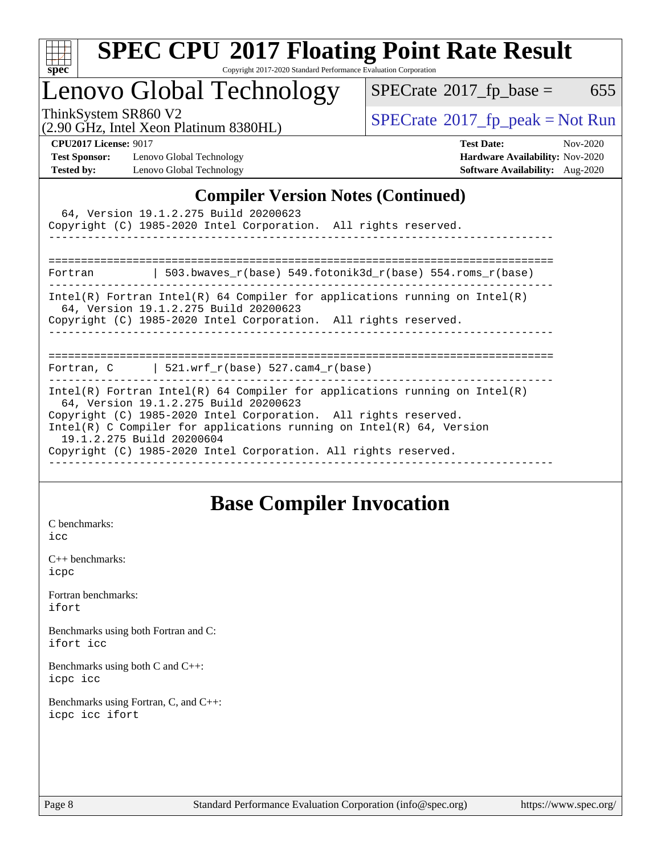

# **[SPEC CPU](http://www.spec.org/auto/cpu2017/Docs/result-fields.html#SPECCPU2017FloatingPointRateResult)[2017 Floating Point Rate Result](http://www.spec.org/auto/cpu2017/Docs/result-fields.html#SPECCPU2017FloatingPointRateResult)**

Copyright 2017-2020 Standard Performance Evaluation Corporation

## Lenovo Global Technology

 $SPECTate@2017_fp\_base = 655$ 

(2.90 GHz, Intel Xeon Platinum 8380HL)

ThinkSystem SR860 V2<br>  $\begin{array}{c}\n\text{SPECrate} \textcirc 2017\_fp\_peak = Not Run \\
\text{SPECrate} \textcirc 2017\_fp\_peak = Not Run\n\end{array}$  $\begin{array}{c}\n\text{SPECrate} \textcirc 2017\_fp\_peak = Not Run \\
\text{SPECrate} \textcirc 2017\_fp\_peak = Not Run\n\end{array}$  $\begin{array}{c}\n\text{SPECrate} \textcirc 2017\_fp\_peak = Not Run \\
\text{SPECrate} \textcirc 2017\_fp\_peak = Not Run\n\end{array}$ 

**[Test Sponsor:](http://www.spec.org/auto/cpu2017/Docs/result-fields.html#TestSponsor)** Lenovo Global Technology **[Hardware Availability:](http://www.spec.org/auto/cpu2017/Docs/result-fields.html#HardwareAvailability)** Nov-2020 **[Tested by:](http://www.spec.org/auto/cpu2017/Docs/result-fields.html#Testedby)** Lenovo Global Technology **[Software Availability:](http://www.spec.org/auto/cpu2017/Docs/result-fields.html#SoftwareAvailability)** Aug-2020

**[CPU2017 License:](http://www.spec.org/auto/cpu2017/Docs/result-fields.html#CPU2017License)** 9017 **[Test Date:](http://www.spec.org/auto/cpu2017/Docs/result-fields.html#TestDate)** Nov-2020

### **[Compiler Version Notes \(Continued\)](http://www.spec.org/auto/cpu2017/Docs/result-fields.html#CompilerVersionNotes)**

| 64, Version 19.1.2.275 Build 20200623<br>Copyright (C) 1985-2020 Intel Corporation. All rights reserved.                                                                                                                                                                                                                                                          |  |  |  |  |  |
|-------------------------------------------------------------------------------------------------------------------------------------------------------------------------------------------------------------------------------------------------------------------------------------------------------------------------------------------------------------------|--|--|--|--|--|
|                                                                                                                                                                                                                                                                                                                                                                   |  |  |  |  |  |
| Fortran   503.bwaves_r(base) 549.fotonik3d_r(base) 554.roms_r(base)                                                                                                                                                                                                                                                                                               |  |  |  |  |  |
| Intel(R) Fortran Intel(R) 64 Compiler for applications running on Intel(R)<br>64, Version 19.1.2.275 Build 20200623<br>Copyright (C) 1985-2020 Intel Corporation. All rights reserved.                                                                                                                                                                            |  |  |  |  |  |
| Fortran, $C$   521.wrf_r(base) 527.cam4_r(base)                                                                                                                                                                                                                                                                                                                   |  |  |  |  |  |
| Intel(R) Fortran Intel(R) 64 Compiler for applications running on Intel(R)<br>64, Version 19.1.2.275 Build 20200623<br>Copyright (C) 1985-2020 Intel Corporation. All rights reserved.<br>Intel(R) C Compiler for applications running on Intel(R) $64$ , Version<br>19.1.2.275 Build 20200604<br>Copyright (C) 1985-2020 Intel Corporation. All rights reserved. |  |  |  |  |  |

### **[Base Compiler Invocation](http://www.spec.org/auto/cpu2017/Docs/result-fields.html#BaseCompilerInvocation)**

[C benchmarks](http://www.spec.org/auto/cpu2017/Docs/result-fields.html#Cbenchmarks): [icc](http://www.spec.org/cpu2017/results/res2020q4/cpu2017-20201123-24483.flags.html#user_CCbase_intel_icc_66fc1ee009f7361af1fbd72ca7dcefbb700085f36577c54f309893dd4ec40d12360134090235512931783d35fd58c0460139e722d5067c5574d8eaf2b3e37e92)

[C++ benchmarks:](http://www.spec.org/auto/cpu2017/Docs/result-fields.html#CXXbenchmarks) [icpc](http://www.spec.org/cpu2017/results/res2020q4/cpu2017-20201123-24483.flags.html#user_CXXbase_intel_icpc_c510b6838c7f56d33e37e94d029a35b4a7bccf4766a728ee175e80a419847e808290a9b78be685c44ab727ea267ec2f070ec5dc83b407c0218cded6866a35d07)

[Fortran benchmarks](http://www.spec.org/auto/cpu2017/Docs/result-fields.html#Fortranbenchmarks): [ifort](http://www.spec.org/cpu2017/results/res2020q4/cpu2017-20201123-24483.flags.html#user_FCbase_intel_ifort_8111460550e3ca792625aed983ce982f94888b8b503583aa7ba2b8303487b4d8a21a13e7191a45c5fd58ff318f48f9492884d4413fa793fd88dd292cad7027ca)

[Benchmarks using both Fortran and C](http://www.spec.org/auto/cpu2017/Docs/result-fields.html#BenchmarksusingbothFortranandC): [ifort](http://www.spec.org/cpu2017/results/res2020q4/cpu2017-20201123-24483.flags.html#user_CC_FCbase_intel_ifort_8111460550e3ca792625aed983ce982f94888b8b503583aa7ba2b8303487b4d8a21a13e7191a45c5fd58ff318f48f9492884d4413fa793fd88dd292cad7027ca) [icc](http://www.spec.org/cpu2017/results/res2020q4/cpu2017-20201123-24483.flags.html#user_CC_FCbase_intel_icc_66fc1ee009f7361af1fbd72ca7dcefbb700085f36577c54f309893dd4ec40d12360134090235512931783d35fd58c0460139e722d5067c5574d8eaf2b3e37e92)

[Benchmarks using both C and C++](http://www.spec.org/auto/cpu2017/Docs/result-fields.html#BenchmarksusingbothCandCXX): [icpc](http://www.spec.org/cpu2017/results/res2020q4/cpu2017-20201123-24483.flags.html#user_CC_CXXbase_intel_icpc_c510b6838c7f56d33e37e94d029a35b4a7bccf4766a728ee175e80a419847e808290a9b78be685c44ab727ea267ec2f070ec5dc83b407c0218cded6866a35d07) [icc](http://www.spec.org/cpu2017/results/res2020q4/cpu2017-20201123-24483.flags.html#user_CC_CXXbase_intel_icc_66fc1ee009f7361af1fbd72ca7dcefbb700085f36577c54f309893dd4ec40d12360134090235512931783d35fd58c0460139e722d5067c5574d8eaf2b3e37e92)

[Benchmarks using Fortran, C, and C++:](http://www.spec.org/auto/cpu2017/Docs/result-fields.html#BenchmarksusingFortranCandCXX) [icpc](http://www.spec.org/cpu2017/results/res2020q4/cpu2017-20201123-24483.flags.html#user_CC_CXX_FCbase_intel_icpc_c510b6838c7f56d33e37e94d029a35b4a7bccf4766a728ee175e80a419847e808290a9b78be685c44ab727ea267ec2f070ec5dc83b407c0218cded6866a35d07) [icc](http://www.spec.org/cpu2017/results/res2020q4/cpu2017-20201123-24483.flags.html#user_CC_CXX_FCbase_intel_icc_66fc1ee009f7361af1fbd72ca7dcefbb700085f36577c54f309893dd4ec40d12360134090235512931783d35fd58c0460139e722d5067c5574d8eaf2b3e37e92) [ifort](http://www.spec.org/cpu2017/results/res2020q4/cpu2017-20201123-24483.flags.html#user_CC_CXX_FCbase_intel_ifort_8111460550e3ca792625aed983ce982f94888b8b503583aa7ba2b8303487b4d8a21a13e7191a45c5fd58ff318f48f9492884d4413fa793fd88dd292cad7027ca)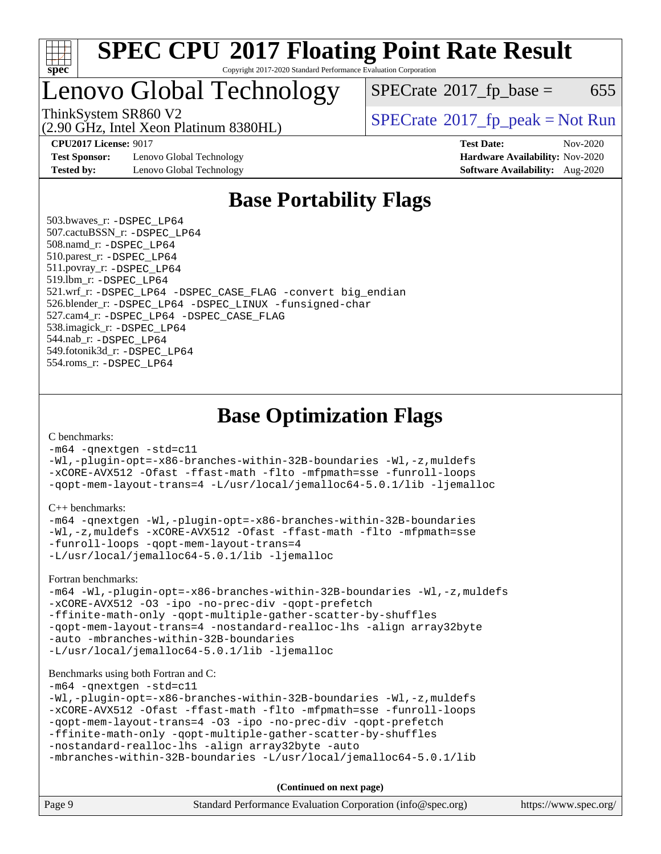

## Lenovo Global Technology

 $SPECTate$ <sup>®</sup>[2017\\_fp\\_base =](http://www.spec.org/auto/cpu2017/Docs/result-fields.html#SPECrate2017fpbase) 655

(2.90 GHz, Intel Xeon Platinum 8380HL) ThinkSystem SR860 V2<br>  $\begin{array}{c}\n\text{SPECrate} \textcirc 2017\_fp\_peak = Not Run \\
\text{SPECrate} \textcirc 2017\_fp\_peak = Not Run\n\end{array}$  $\begin{array}{c}\n\text{SPECrate} \textcirc 2017\_fp\_peak = Not Run \\
\text{SPECrate} \textcirc 2017\_fp\_peak = Not Run\n\end{array}$  $\begin{array}{c}\n\text{SPECrate} \textcirc 2017\_fp\_peak = Not Run \\
\text{SPECrate} \textcirc 2017\_fp\_peak = Not Run\n\end{array}$ 

**[Test Sponsor:](http://www.spec.org/auto/cpu2017/Docs/result-fields.html#TestSponsor)** Lenovo Global Technology **[Hardware Availability:](http://www.spec.org/auto/cpu2017/Docs/result-fields.html#HardwareAvailability)** Nov-2020 **[Tested by:](http://www.spec.org/auto/cpu2017/Docs/result-fields.html#Testedby)** Lenovo Global Technology **[Software Availability:](http://www.spec.org/auto/cpu2017/Docs/result-fields.html#SoftwareAvailability)** Aug-2020

**[CPU2017 License:](http://www.spec.org/auto/cpu2017/Docs/result-fields.html#CPU2017License)** 9017 **[Test Date:](http://www.spec.org/auto/cpu2017/Docs/result-fields.html#TestDate)** Nov-2020

### **[Base Portability Flags](http://www.spec.org/auto/cpu2017/Docs/result-fields.html#BasePortabilityFlags)**

 503.bwaves\_r: [-DSPEC\\_LP64](http://www.spec.org/cpu2017/results/res2020q4/cpu2017-20201123-24483.flags.html#suite_basePORTABILITY503_bwaves_r_DSPEC_LP64) 507.cactuBSSN\_r: [-DSPEC\\_LP64](http://www.spec.org/cpu2017/results/res2020q4/cpu2017-20201123-24483.flags.html#suite_basePORTABILITY507_cactuBSSN_r_DSPEC_LP64) 508.namd\_r: [-DSPEC\\_LP64](http://www.spec.org/cpu2017/results/res2020q4/cpu2017-20201123-24483.flags.html#suite_basePORTABILITY508_namd_r_DSPEC_LP64) 510.parest\_r: [-DSPEC\\_LP64](http://www.spec.org/cpu2017/results/res2020q4/cpu2017-20201123-24483.flags.html#suite_basePORTABILITY510_parest_r_DSPEC_LP64) 511.povray\_r: [-DSPEC\\_LP64](http://www.spec.org/cpu2017/results/res2020q4/cpu2017-20201123-24483.flags.html#suite_basePORTABILITY511_povray_r_DSPEC_LP64) 519.lbm\_r: [-DSPEC\\_LP64](http://www.spec.org/cpu2017/results/res2020q4/cpu2017-20201123-24483.flags.html#suite_basePORTABILITY519_lbm_r_DSPEC_LP64) 521.wrf\_r: [-DSPEC\\_LP64](http://www.spec.org/cpu2017/results/res2020q4/cpu2017-20201123-24483.flags.html#suite_basePORTABILITY521_wrf_r_DSPEC_LP64) [-DSPEC\\_CASE\\_FLAG](http://www.spec.org/cpu2017/results/res2020q4/cpu2017-20201123-24483.flags.html#b521.wrf_r_baseCPORTABILITY_DSPEC_CASE_FLAG) [-convert big\\_endian](http://www.spec.org/cpu2017/results/res2020q4/cpu2017-20201123-24483.flags.html#user_baseFPORTABILITY521_wrf_r_convert_big_endian_c3194028bc08c63ac5d04de18c48ce6d347e4e562e8892b8bdbdc0214820426deb8554edfa529a3fb25a586e65a3d812c835984020483e7e73212c4d31a38223) 526.blender\_r: [-DSPEC\\_LP64](http://www.spec.org/cpu2017/results/res2020q4/cpu2017-20201123-24483.flags.html#suite_basePORTABILITY526_blender_r_DSPEC_LP64) [-DSPEC\\_LINUX](http://www.spec.org/cpu2017/results/res2020q4/cpu2017-20201123-24483.flags.html#b526.blender_r_baseCPORTABILITY_DSPEC_LINUX) [-funsigned-char](http://www.spec.org/cpu2017/results/res2020q4/cpu2017-20201123-24483.flags.html#user_baseCPORTABILITY526_blender_r_force_uchar_40c60f00ab013830e2dd6774aeded3ff59883ba5a1fc5fc14077f794d777847726e2a5858cbc7672e36e1b067e7e5c1d9a74f7176df07886a243d7cc18edfe67) 527.cam4\_r: [-DSPEC\\_LP64](http://www.spec.org/cpu2017/results/res2020q4/cpu2017-20201123-24483.flags.html#suite_basePORTABILITY527_cam4_r_DSPEC_LP64) [-DSPEC\\_CASE\\_FLAG](http://www.spec.org/cpu2017/results/res2020q4/cpu2017-20201123-24483.flags.html#b527.cam4_r_baseCPORTABILITY_DSPEC_CASE_FLAG) 538.imagick\_r: [-DSPEC\\_LP64](http://www.spec.org/cpu2017/results/res2020q4/cpu2017-20201123-24483.flags.html#suite_basePORTABILITY538_imagick_r_DSPEC_LP64) 544.nab\_r: [-DSPEC\\_LP64](http://www.spec.org/cpu2017/results/res2020q4/cpu2017-20201123-24483.flags.html#suite_basePORTABILITY544_nab_r_DSPEC_LP64) 549.fotonik3d\_r: [-DSPEC\\_LP64](http://www.spec.org/cpu2017/results/res2020q4/cpu2017-20201123-24483.flags.html#suite_basePORTABILITY549_fotonik3d_r_DSPEC_LP64) 554.roms\_r: [-DSPEC\\_LP64](http://www.spec.org/cpu2017/results/res2020q4/cpu2017-20201123-24483.flags.html#suite_basePORTABILITY554_roms_r_DSPEC_LP64)

### **[Base Optimization Flags](http://www.spec.org/auto/cpu2017/Docs/result-fields.html#BaseOptimizationFlags)**

[C benchmarks](http://www.spec.org/auto/cpu2017/Docs/result-fields.html#Cbenchmarks):

[-m64](http://www.spec.org/cpu2017/results/res2020q4/cpu2017-20201123-24483.flags.html#user_CCbase_m64-icc) [-qnextgen](http://www.spec.org/cpu2017/results/res2020q4/cpu2017-20201123-24483.flags.html#user_CCbase_f-qnextgen) [-std=c11](http://www.spec.org/cpu2017/results/res2020q4/cpu2017-20201123-24483.flags.html#user_CCbase_std-icc-std_0e1c27790398a4642dfca32ffe6c27b5796f9c2d2676156f2e42c9c44eaad0c049b1cdb667a270c34d979996257aeb8fc440bfb01818dbc9357bd9d174cb8524) [-Wl,-plugin-opt=-x86-branches-within-32B-boundaries](http://www.spec.org/cpu2017/results/res2020q4/cpu2017-20201123-24483.flags.html#user_CCbase_f-x86-branches-within-32B-boundaries_0098b4e4317ae60947b7b728078a624952a08ac37a3c797dfb4ffeb399e0c61a9dd0f2f44ce917e9361fb9076ccb15e7824594512dd315205382d84209e912f3) [-Wl,-z,muldefs](http://www.spec.org/cpu2017/results/res2020q4/cpu2017-20201123-24483.flags.html#user_CCbase_link_force_multiple1_b4cbdb97b34bdee9ceefcfe54f4c8ea74255f0b02a4b23e853cdb0e18eb4525ac79b5a88067c842dd0ee6996c24547a27a4b99331201badda8798ef8a743f577) [-xCORE-AVX512](http://www.spec.org/cpu2017/results/res2020q4/cpu2017-20201123-24483.flags.html#user_CCbase_f-xCORE-AVX512) [-Ofast](http://www.spec.org/cpu2017/results/res2020q4/cpu2017-20201123-24483.flags.html#user_CCbase_f-Ofast) [-ffast-math](http://www.spec.org/cpu2017/results/res2020q4/cpu2017-20201123-24483.flags.html#user_CCbase_f-ffast-math) [-flto](http://www.spec.org/cpu2017/results/res2020q4/cpu2017-20201123-24483.flags.html#user_CCbase_f-flto) [-mfpmath=sse](http://www.spec.org/cpu2017/results/res2020q4/cpu2017-20201123-24483.flags.html#user_CCbase_f-mfpmath_70eb8fac26bde974f8ab713bc9086c5621c0b8d2f6c86f38af0bd7062540daf19db5f3a066d8c6684be05d84c9b6322eb3b5be6619d967835195b93d6c02afa1) [-funroll-loops](http://www.spec.org/cpu2017/results/res2020q4/cpu2017-20201123-24483.flags.html#user_CCbase_f-funroll-loops) [-qopt-mem-layout-trans=4](http://www.spec.org/cpu2017/results/res2020q4/cpu2017-20201123-24483.flags.html#user_CCbase_f-qopt-mem-layout-trans_fa39e755916c150a61361b7846f310bcdf6f04e385ef281cadf3647acec3f0ae266d1a1d22d972a7087a248fd4e6ca390a3634700869573d231a252c784941a8) [-L/usr/local/jemalloc64-5.0.1/lib](http://www.spec.org/cpu2017/results/res2020q4/cpu2017-20201123-24483.flags.html#user_CCbase_jemalloc_link_path64_1_cc289568b1a6c0fd3b62c91b824c27fcb5af5e8098e6ad028160d21144ef1b8aef3170d2acf0bee98a8da324cfe4f67d0a3d0c4cc4673d993d694dc2a0df248b) [-ljemalloc](http://www.spec.org/cpu2017/results/res2020q4/cpu2017-20201123-24483.flags.html#user_CCbase_jemalloc_link_lib_d1249b907c500fa1c0672f44f562e3d0f79738ae9e3c4a9c376d49f265a04b9c99b167ecedbf6711b3085be911c67ff61f150a17b3472be731631ba4d0471706)

[C++ benchmarks:](http://www.spec.org/auto/cpu2017/Docs/result-fields.html#CXXbenchmarks)

```
-m64 -qnextgen -Wl,-plugin-opt=-x86-branches-within-32B-boundaries
-Wl,-z,muldefs -xCORE-AVX512 -Ofast -ffast-math -flto -mfpmath=sse
-funroll-loops -qopt-mem-layout-trans=4
-L/usr/local/jemalloc64-5.0.1/lib -ljemalloc
```
[Fortran benchmarks](http://www.spec.org/auto/cpu2017/Docs/result-fields.html#Fortranbenchmarks):

```
-m64 -Wl,-plugin-opt=-x86-branches-within-32B-boundaries -Wl,-z,muldefs
-xCORE-AVX512 -O3 -ipo -no-prec-div -qopt-prefetch
-ffinite-math-only -qopt-multiple-gather-scatter-by-shuffles
-qopt-mem-layout-trans=4 -nostandard-realloc-lhs -align array32byte
-auto -mbranches-within-32B-boundaries
-L/usr/local/jemalloc64-5.0.1/lib -ljemalloc
```
#### [Benchmarks using both Fortran and C](http://www.spec.org/auto/cpu2017/Docs/result-fields.html#BenchmarksusingbothFortranandC):

[-m64](http://www.spec.org/cpu2017/results/res2020q4/cpu2017-20201123-24483.flags.html#user_CC_FCbase_m64-icc) [-qnextgen](http://www.spec.org/cpu2017/results/res2020q4/cpu2017-20201123-24483.flags.html#user_CC_FCbase_f-qnextgen) [-std=c11](http://www.spec.org/cpu2017/results/res2020q4/cpu2017-20201123-24483.flags.html#user_CC_FCbase_std-icc-std_0e1c27790398a4642dfca32ffe6c27b5796f9c2d2676156f2e42c9c44eaad0c049b1cdb667a270c34d979996257aeb8fc440bfb01818dbc9357bd9d174cb8524)

```
-Wl,-plugin-opt=-x86-branches-within-32B-boundaries -Wl,-z,muldefs
-xCORE-AVX512 -Ofast -ffast-math -flto -mfpmath=sse -funroll-loops
-qopt-mem-layout-trans=4 -O3 -ipo -no-prec-div -qopt-prefetch
-ffinite-math-only -qopt-multiple-gather-scatter-by-shuffles
-nostandard-realloc-lhs -align array32byte -auto
```

```
-mbranches-within-32B-boundaries -L/usr/local/jemalloc64-5.0.1/lib
```
**(Continued on next page)**

| Page 9 | Standard Performance Evaluation Corporation (info@spec.org) | https://www.spec.org/ |
|--------|-------------------------------------------------------------|-----------------------|